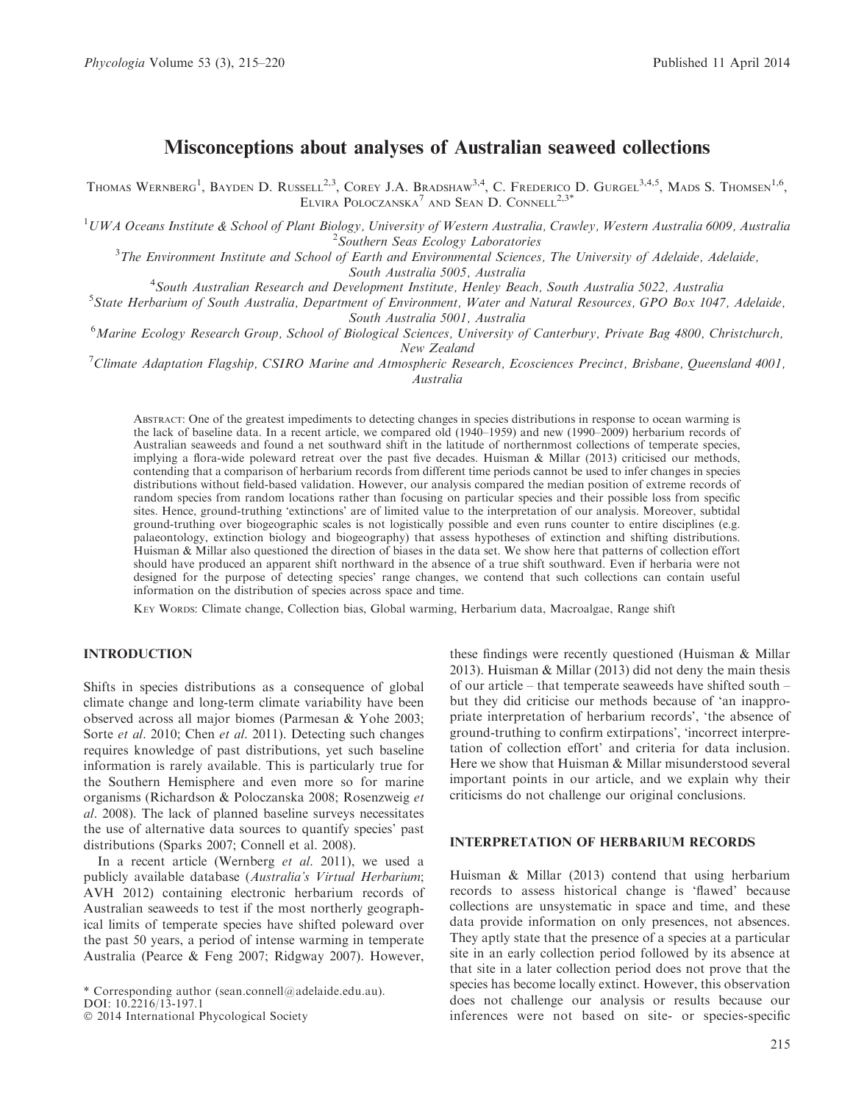# Misconceptions about analyses of Australian seaweed collections

Thomas Wernberg<sup>1</sup>, Bayden D. Russell<sup>2,3</sup>, Corey J.A. Bradshaw<sup>3,4</sup>, C. Frederico D. Gurgel<sup>3,4,5</sup>, Mads S. Thomsen<sup>1,6</sup>, ELVIRA POLOCZANSKA<sup>7</sup> AND SEAN D. CONNELL<sup>2,3\*</sup>

<sup>1</sup>UWA Oceans Institute & School of Plant Biology, University of Western Australia, Crawley, Western Australia 6009, Australia  $\frac{2 \text{ C}^2}{\text{C}^2}$ 

<sup>2</sup>Southern Seas Ecology Laboratories<br><sup>3</sup>The Environment Institute and School of Earth and Environmental Sciences, The University of Adelaide, Adelaide,

South Australia 5005, Australia<br><sup>4</sup> South Australian Bessexuely and Development Institute, Henley Bea South Australian Research and Development Institute, Henley Beach, South Australia 5022, Australia <sup>5</sup>

<sup>5</sup>State Herbarium of South Australia, Department of Environment, Water and Natural Resources, GPO Box 1047, Adelaide,

South Australia 5001, Australia<br>Marine Ecology Research Group, School of Biological Sciences, University of Canterbury, Private Bag 4800, Christchurch,

New Zealand<br><sup>7</sup> Climate Adaptation Flagship, CSIRO Marine and Atmospheric Research, Ecosciences Precinct, Brisbane, Queensland 4001, Australia

ABSTRACT: One of the greatest impediments to detecting changes in species distributions in response to ocean warming is the lack of baseline data. In a recent article, we compared old (1940–1959) and new (1990–2009) herbarium records of Australian seaweeds and found a net southward shift in the latitude of northernmost collections of temperate species, implying a flora-wide poleward retreat over the past five decades. Huisman & Millar (2013) criticised our methods, contending that a comparison of herbarium records from different time periods cannot be used to infer changes in species distributions without field-based validation. However, our analysis compared the median position of extreme records of random species from random locations rather than focusing on particular species and their possible loss from specific sites. Hence, ground-truthing 'extinctions' are of limited value to the interpretation of our analysis. Moreover, subtidal ground-truthing over biogeographic scales is not logistically possible and even runs counter to entire disciplines (e.g. palaeontology, extinction biology and biogeography) that assess hypotheses of extinction and shifting distributions. Huisman & Millar also questioned the direction of biases in the data set. We show here that patterns of collection effort should have produced an apparent shift northward in the absence of a true shift southward. Even if herbaria were not designed for the purpose of detecting species' range changes, we contend that such collections can contain useful information on the distribution of species across space and time.

KEY WORDS: Climate change, Collection bias, Global warming, Herbarium data, Macroalgae, Range shift

## INTRODUCTION

Shifts in species distributions as a consequence of global climate change and long-term climate variability have been observed across all major biomes (Parmesan & Yohe 2003; Sorte et al. 2010; Chen et al. 2011). Detecting such changes requires knowledge of past distributions, yet such baseline information is rarely available. This is particularly true for the Southern Hemisphere and even more so for marine organisms (Richardson & Poloczanska 2008; Rosenzweig et al. 2008). The lack of planned baseline surveys necessitates the use of alternative data sources to quantify species' past distributions (Sparks 2007; Connell et al. 2008).

In a recent article (Wernberg et al. 2011), we used a publicly available database (Australia's Virtual Herbarium; AVH 2012) containing electronic herbarium records of Australian seaweeds to test if the most northerly geographical limits of temperate species have shifted poleward over the past 50 years, a period of intense warming in temperate Australia (Pearce & Feng 2007; Ridgway 2007). However,

\* Corresponding author (sean.connell@adelaide.edu.au).

these findings were recently questioned (Huisman & Millar 2013). Huisman & Millar (2013) did not deny the main thesis of our article – that temperate seaweeds have shifted south – but they did criticise our methods because of 'an inappropriate interpretation of herbarium records', 'the absence of ground-truthing to confirm extirpations', 'incorrect interpretation of collection effort' and criteria for data inclusion. Here we show that Huisman & Millar misunderstood several important points in our article, and we explain why their criticisms do not challenge our original conclusions.

## INTERPRETATION OF HERBARIUM RECORDS

Huisman & Millar (2013) contend that using herbarium records to assess historical change is 'flawed' because collections are unsystematic in space and time, and these data provide information on only presences, not absences. They aptly state that the presence of a species at a particular site in an early collection period followed by its absence at that site in a later collection period does not prove that the species has become locally extinct. However, this observation does not challenge our analysis or results because our inferences were not based on site- or species-specific

DOI: 10.2216/13-197.1

<sup>-</sup> 2014 International Phycological Society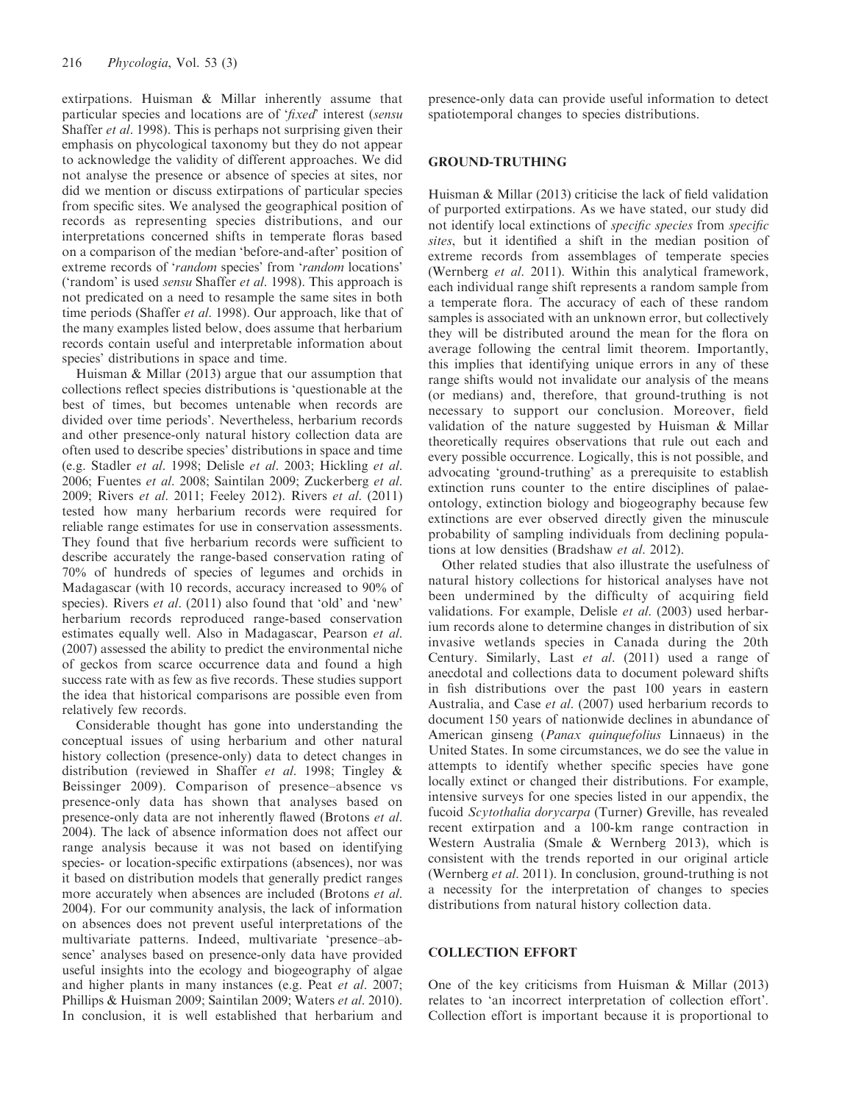extirpations. Huisman & Millar inherently assume that particular species and locations are of 'fixed' interest (sensu Shaffer et al. 1998). This is perhaps not surprising given their emphasis on phycological taxonomy but they do not appear to acknowledge the validity of different approaches. We did not analyse the presence or absence of species at sites, nor did we mention or discuss extirpations of particular species from specific sites. We analysed the geographical position of records as representing species distributions, and our interpretations concerned shifts in temperate floras based on a comparison of the median 'before-and-after' position of extreme records of 'random species' from 'random locations' ('random' is used sensu Shaffer et al. 1998). This approach is not predicated on a need to resample the same sites in both time periods (Shaffer *et al.* 1998). Our approach, like that of the many examples listed below, does assume that herbarium records contain useful and interpretable information about species' distributions in space and time.

Huisman & Millar (2013) argue that our assumption that collections reflect species distributions is 'questionable at the best of times, but becomes untenable when records are divided over time periods'. Nevertheless, herbarium records and other presence-only natural history collection data are often used to describe species' distributions in space and time (e.g. Stadler et al. 1998; Delisle et al. 2003; Hickling et al. 2006; Fuentes et al. 2008; Saintilan 2009; Zuckerberg et al. 2009; Rivers *et al.* 2011; Feeley 2012). Rivers *et al.* (2011) tested how many herbarium records were required for reliable range estimates for use in conservation assessments. They found that five herbarium records were sufficient to describe accurately the range-based conservation rating of 70% of hundreds of species of legumes and orchids in Madagascar (with 10 records, accuracy increased to 90% of species). Rivers *et al.* (2011) also found that 'old' and 'new' herbarium records reproduced range-based conservation estimates equally well. Also in Madagascar, Pearson et al. (2007) assessed the ability to predict the environmental niche of geckos from scarce occurrence data and found a high success rate with as few as five records. These studies support the idea that historical comparisons are possible even from relatively few records.

Considerable thought has gone into understanding the conceptual issues of using herbarium and other natural history collection (presence-only) data to detect changes in distribution (reviewed in Shaffer et al. 1998; Tingley & Beissinger 2009). Comparison of presence–absence vs presence-only data has shown that analyses based on presence-only data are not inherently flawed (Brotons et al. 2004). The lack of absence information does not affect our range analysis because it was not based on identifying species- or location-specific extirpations (absences), nor was it based on distribution models that generally predict ranges more accurately when absences are included (Brotons et al. 2004). For our community analysis, the lack of information on absences does not prevent useful interpretations of the multivariate patterns. Indeed, multivariate 'presence–absence' analyses based on presence-only data have provided useful insights into the ecology and biogeography of algae and higher plants in many instances (e.g. Peat et al. 2007; Phillips & Huisman 2009; Saintilan 2009; Waters et al. 2010). In conclusion, it is well established that herbarium and

presence-only data can provide useful information to detect spatiotemporal changes to species distributions.

#### GROUND-TRUTHING

Huisman & Millar (2013) criticise the lack of field validation of purported extirpations. As we have stated, our study did not identify local extinctions of specific species from specific sites, but it identified a shift in the median position of extreme records from assemblages of temperate species (Wernberg et al. 2011). Within this analytical framework, each individual range shift represents a random sample from a temperate flora. The accuracy of each of these random samples is associated with an unknown error, but collectively they will be distributed around the mean for the flora on average following the central limit theorem. Importantly, this implies that identifying unique errors in any of these range shifts would not invalidate our analysis of the means (or medians) and, therefore, that ground-truthing is not necessary to support our conclusion. Moreover, field validation of the nature suggested by Huisman & Millar theoretically requires observations that rule out each and every possible occurrence. Logically, this is not possible, and advocating 'ground-truthing' as a prerequisite to establish extinction runs counter to the entire disciplines of palaeontology, extinction biology and biogeography because few extinctions are ever observed directly given the minuscule probability of sampling individuals from declining populations at low densities (Bradshaw et al. 2012).

Other related studies that also illustrate the usefulness of natural history collections for historical analyses have not been undermined by the difficulty of acquiring field validations. For example, Delisle et al. (2003) used herbarium records alone to determine changes in distribution of six invasive wetlands species in Canada during the 20th Century. Similarly, Last et al. (2011) used a range of anecdotal and collections data to document poleward shifts in fish distributions over the past 100 years in eastern Australia, and Case et al. (2007) used herbarium records to document 150 years of nationwide declines in abundance of American ginseng (Panax quinquefolius Linnaeus) in the United States. In some circumstances, we do see the value in attempts to identify whether specific species have gone locally extinct or changed their distributions. For example, intensive surveys for one species listed in our appendix, the fucoid Scytothalia dorycarpa (Turner) Greville, has revealed recent extirpation and a 100-km range contraction in Western Australia (Smale & Wernberg 2013), which is consistent with the trends reported in our original article (Wernberg *et al.* 2011). In conclusion, ground-truthing is not a necessity for the interpretation of changes to species distributions from natural history collection data.

#### COLLECTION EFFORT

One of the key criticisms from Huisman & Millar (2013) relates to 'an incorrect interpretation of collection effort'. Collection effort is important because it is proportional to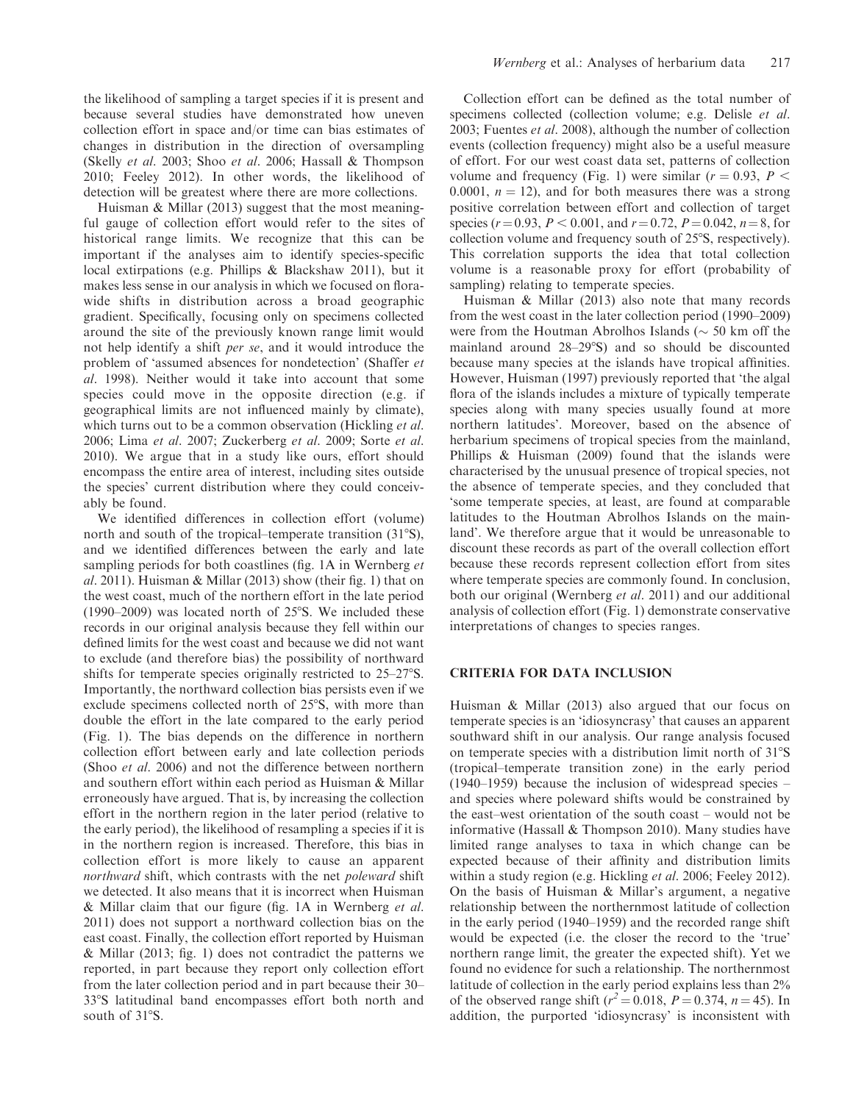the likelihood of sampling a target species if it is present and because several studies have demonstrated how uneven collection effort in space and/or time can bias estimates of changes in distribution in the direction of oversampling (Skelly et al. 2003; Shoo et al. 2006; Hassall & Thompson 2010; Feeley 2012). In other words, the likelihood of detection will be greatest where there are more collections.

Huisman & Millar (2013) suggest that the most meaningful gauge of collection effort would refer to the sites of historical range limits. We recognize that this can be important if the analyses aim to identify species-specific local extirpations (e.g. Phillips & Blackshaw 2011), but it makes less sense in our analysis in which we focused on florawide shifts in distribution across a broad geographic gradient. Specifically, focusing only on specimens collected around the site of the previously known range limit would not help identify a shift *per se*, and it would introduce the problem of 'assumed absences for nondetection' (Shaffer et al. 1998). Neither would it take into account that some species could move in the opposite direction (e.g. if geographical limits are not influenced mainly by climate), which turns out to be a common observation (Hickling *et al.*) 2006; Lima et al. 2007; Zuckerberg et al. 2009; Sorte et al. 2010). We argue that in a study like ours, effort should encompass the entire area of interest, including sites outside the species' current distribution where they could conceivably be found.

We identified differences in collection effort (volume) north and south of the tropical–temperate transition  $(31^{\circ}S)$ , and we identified differences between the early and late sampling periods for both coastlines (fig. 1A in Wernberg et al. 2011). Huisman & Millar (2013) show (their fig. 1) that on the west coast, much of the northern effort in the late period (1990–2009) was located north of  $25^{\circ}$ S. We included these records in our original analysis because they fell within our defined limits for the west coast and because we did not want to exclude (and therefore bias) the possibility of northward shifts for temperate species originally restricted to 25–27°S. Importantly, the northward collection bias persists even if we exclude specimens collected north of 25°S, with more than double the effort in the late compared to the early period (Fig. 1). The bias depends on the difference in northern collection effort between early and late collection periods (Shoo et al. 2006) and not the difference between northern and southern effort within each period as Huisman & Millar erroneously have argued. That is, by increasing the collection effort in the northern region in the later period (relative to the early period), the likelihood of resampling a species if it is in the northern region is increased. Therefore, this bias in collection effort is more likely to cause an apparent northward shift, which contrasts with the net *poleward* shift we detected. It also means that it is incorrect when Huisman & Millar claim that our figure (fig. 1A in Wernberg et al. 2011) does not support a northward collection bias on the east coast. Finally, the collection effort reported by Huisman & Millar (2013; fig. 1) does not contradict the patterns we reported, in part because they report only collection effort from the later collection period and in part because their 30– 338S latitudinal band encompasses effort both north and south of 31°S.

Collection effort can be defined as the total number of specimens collected (collection volume; e.g. Delisle et al. 2003; Fuentes et al. 2008), although the number of collection events (collection frequency) might also be a useful measure of effort. For our west coast data set, patterns of collection volume and frequency (Fig. 1) were similar ( $r = 0.93$ ,  $P <$ 0.0001,  $n = 12$ ), and for both measures there was a strong positive correlation between effort and collection of target species ( $r = 0.93$ ,  $P < 0.001$ , and  $r = 0.72$ ,  $P = 0.042$ ,  $n = 8$ , for collection volume and frequency south of 25°S, respectively). This correlation supports the idea that total collection volume is a reasonable proxy for effort (probability of sampling) relating to temperate species.

Huisman & Millar (2013) also note that many records from the west coast in the later collection period (1990–2009) were from the Houtman Abrolhos Islands ( $\sim$  50 km off the mainland around  $28-29°S$ ) and so should be discounted because many species at the islands have tropical affinities. However, Huisman (1997) previously reported that 'the algal flora of the islands includes a mixture of typically temperate species along with many species usually found at more northern latitudes'. Moreover, based on the absence of herbarium specimens of tropical species from the mainland, Phillips & Huisman (2009) found that the islands were characterised by the unusual presence of tropical species, not the absence of temperate species, and they concluded that 'some temperate species, at least, are found at comparable latitudes to the Houtman Abrolhos Islands on the mainland'. We therefore argue that it would be unreasonable to discount these records as part of the overall collection effort because these records represent collection effort from sites where temperate species are commonly found. In conclusion, both our original (Wernberg et al. 2011) and our additional analysis of collection effort (Fig. 1) demonstrate conservative interpretations of changes to species ranges.

# CRITERIA FOR DATA INCLUSION

Huisman & Millar (2013) also argued that our focus on temperate species is an 'idiosyncrasy' that causes an apparent southward shift in our analysis. Our range analysis focused on temperate species with a distribution limit north of 31<sup>o</sup>S (tropical–temperate transition zone) in the early period (1940–1959) because the inclusion of widespread species – and species where poleward shifts would be constrained by the east–west orientation of the south coast – would not be informative (Hassall & Thompson 2010). Many studies have limited range analyses to taxa in which change can be expected because of their affinity and distribution limits within a study region (e.g. Hickling et al. 2006; Feeley 2012). On the basis of Huisman & Millar's argument, a negative relationship between the northernmost latitude of collection in the early period (1940–1959) and the recorded range shift would be expected (i.e. the closer the record to the 'true' northern range limit, the greater the expected shift). Yet we found no evidence for such a relationship. The northernmost latitude of collection in the early period explains less than 2% of the observed range shift ( $r^2 = 0.018$ ,  $P = 0.374$ ,  $n = 45$ ). In addition, the purported 'idiosyncrasy' is inconsistent with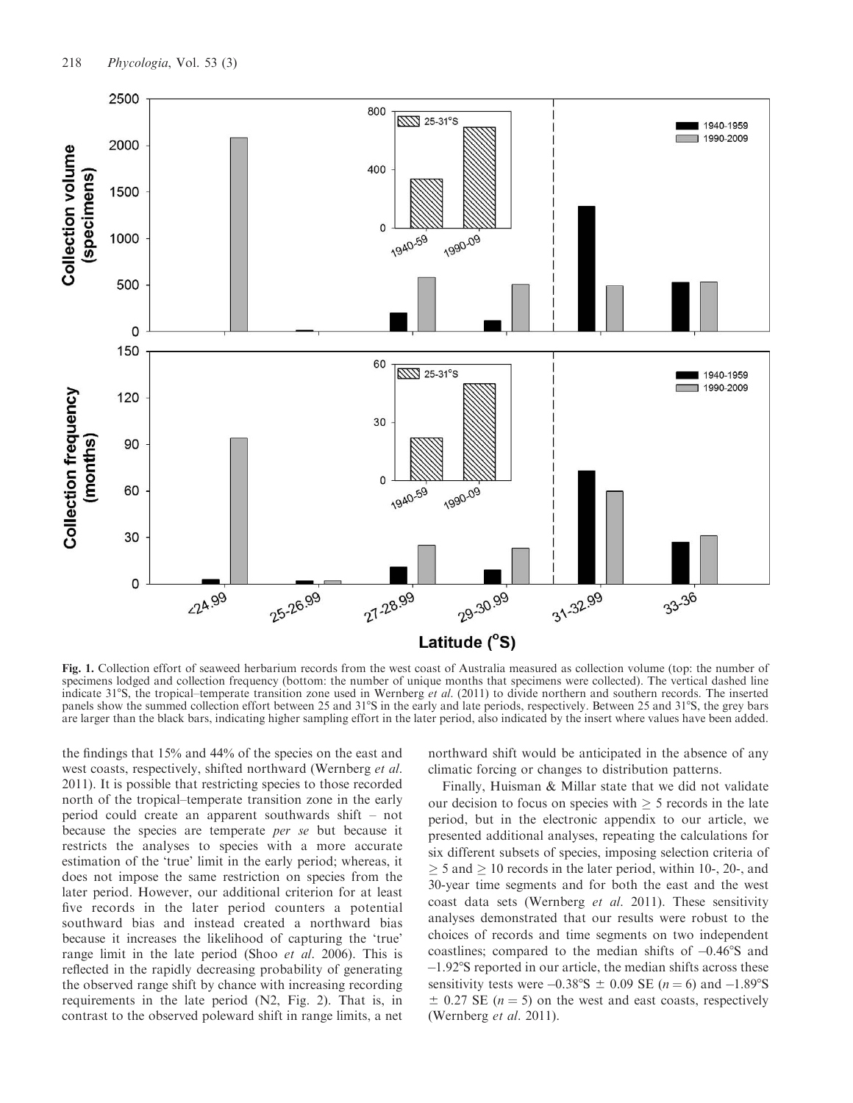

Fig. 1. Collection effort of seaweed herbarium records from the west coast of Australia measured as collection volume (top: the number of specimens lodged and collection frequency (bottom: the number of unique months that specimens were collected). The vertical dashed line indicate  $31^{\circ}$ S, the tropical–temperate transition zone used in Wernberg et al. (2011) to divide northern and southern records. The inserted panels show the summed collection effort between 25 and 31°S in the early and late periods, respectively. Between 25 and 31°S, the grey bars are larger than the black bars, indicating higher sampling effort in the later period, also indicated by the insert where values have been added.

the findings that 15% and 44% of the species on the east and west coasts, respectively, shifted northward (Wernberg et al. 2011). It is possible that restricting species to those recorded north of the tropical–temperate transition zone in the early period could create an apparent southwards shift – not because the species are temperate *per se* but because it restricts the analyses to species with a more accurate estimation of the 'true' limit in the early period; whereas, it does not impose the same restriction on species from the later period. However, our additional criterion for at least five records in the later period counters a potential southward bias and instead created a northward bias because it increases the likelihood of capturing the 'true' range limit in the late period (Shoo *et al.* 2006). This is reflected in the rapidly decreasing probability of generating the observed range shift by chance with increasing recording requirements in the late period (N2, Fig. 2). That is, in contrast to the observed poleward shift in range limits, a net northward shift would be anticipated in the absence of any climatic forcing or changes to distribution patterns.

Finally, Huisman & Millar state that we did not validate our decision to focus on species with  $\geq$  5 records in the late period, but in the electronic appendix to our article, we presented additional analyses, repeating the calculations for six different subsets of species, imposing selection criteria of  $\geq$  5 and  $\geq$  10 records in the later period, within 10-, 20-, and 30-year time segments and for both the east and the west coast data sets (Wernberg et al. 2011). These sensitivity analyses demonstrated that our results were robust to the choices of records and time segments on two independent coastlines; compared to the median shifts of  $-0.46\textdegree$ S and  $-1.92$ °S reported in our article, the median shifts across these sensitivity tests were  $-0.38\text{°S} \pm 0.09 \text{ } SE (n = 6) \text{ and } -1.89\text{°S}$  $\pm$  0.27 SE (n = 5) on the west and east coasts, respectively (Wernberg et al. 2011).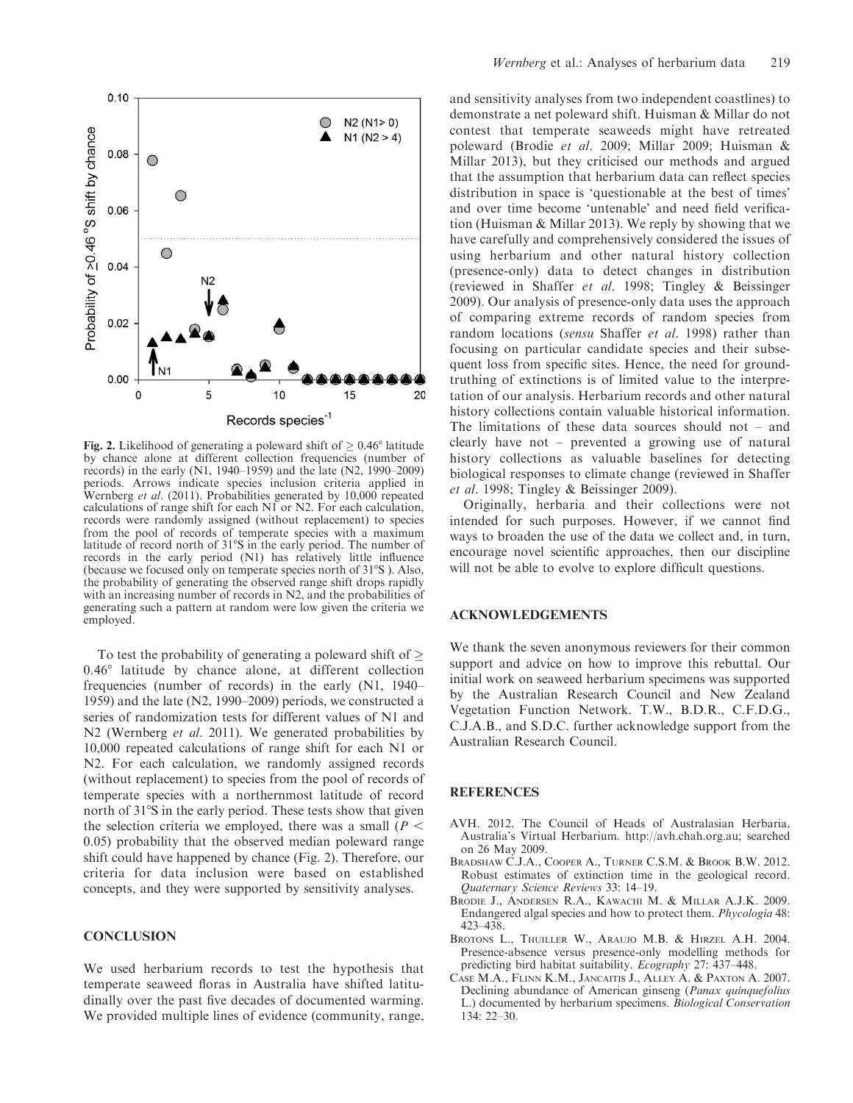

**Fig. 2.** Likelihood of generating a poleward shift of  $\geq 0.46^{\circ}$  latitude by chance alone at different collection frequencies (number of records) in the early (N1, 1940–1959) and the late (N2, 1990–2009) periods. Arrows indicate species inclusion criteria applied in Wernberg et al. (2011). Probabilities generated by 10,000 repeated calculations of range shift for each N1 or N2. For each calculation, records were randomly assigned (without replacement) to species from the pool of records of temperate species with a maximum latitude of record north of 31°S in the early period. The number of records in the early period (N1) has relatively little influence (because we focused only on temperate species north of 31°S). Also, the probability of generating the observed range shift drops rapidly with an increasing number of records in N2, and the probabilities of generating such a pattern at random were low given the criteria we employed.

To test the probability of generating a poleward shift of  $\geq$  $0.46^\circ$  latitude by chance alone, at different collection frequencies (number of records) in the early (N1, 1940– 1959) and the late (N2, 1990–2009) periods, we constructed a series of randomization tests for different values of N1 and N2 (Wernberg et al. 2011). We generated probabilities by 10,000 repeated calculations of range shift for each N1 or N2. For each calculation, we randomly assigned records (without replacement) to species from the pool of records of temperate species with a northernmost latitude of record north of 31°S in the early period. These tests show that given the selection criteria we employed, there was a small ( $P \leq$ 0.05) probability that the observed median poleward range shift could have happened by chance (Fig. 2). Therefore, our criteria for data inclusion were based on established concepts, and they were supported by sensitivity analyses.

#### **CONCLUSION**

We used herbarium records to test the hypothesis that temperate seaweed floras in Australia have shifted latitudinally over the past five decades of documented warming. We provided multiple lines of evidence (community, range,

and sensitivity analyses from two independent coastlines) to demonstrate a net poleward shift. Huisman & Millar do not contest that temperate seaweeds might have retreated poleward (Brodie et al. 2009; Millar 2009; Huisman & Millar 2013), but they criticised our methods and argued that the assumption that herbarium data can reflect species distribution in space is 'questionable at the best of times' and over time become 'untenable' and need field verification (Huisman & Millar 2013). We reply by showing that we have carefully and comprehensively considered the issues of using herbarium and other natural history collection (presence-only) data to detect changes in distribution (reviewed in Shaffer et al. 1998; Tingley & Beissinger 2009). Our analysis of presence-only data uses the approach of comparing extreme records of random species from random locations (sensu Shaffer et al. 1998) rather than focusing on particular candidate species and their subsequent loss from specific sites. Hence, the need for groundtruthing of extinctions is of limited value to the interpretation of our analysis. Herbarium records and other natural history collections contain valuable historical information. The limitations of these data sources should not – and clearly have not – prevented a growing use of natural history collections as valuable baselines for detecting biological responses to climate change (reviewed in Shaffer et al. 1998; Tingley & Beissinger 2009).

Originally, herbaria and their collections were not intended for such purposes. However, if we cannot find ways to broaden the use of the data we collect and, in turn, encourage novel scientific approaches, then our discipline will not be able to evolve to explore difficult questions.

#### ACKNOWLEDGEMENTS

We thank the seven anonymous reviewers for their common support and advice on how to improve this rebuttal. Our initial work on seaweed herbarium specimens was supported by the Australian Research Council and New Zealand Vegetation Function Network. T.W., B.D.R., C.F.D.G., C.J.A.B., and S.D.C. further acknowledge support from the Australian Research Council.

#### **REFERENCES**

- AVH. 2012. The Council of Heads of Australasian Herbaria, Australia's Virtual Herbarium. http://avh.chah.org.au; searched on 26 May 2009.
- BRADSHAW C.J.A., COOPER A., TURNER C.S.M. & BROOK B.W. 2012. Robust estimates of extinction time in the geological record. Quaternary Science Reviews 33: 14–19.
- BRODIE J., ANDERSEN R.A., KAWACHI M. & MILLAR A.J.K. 2009. Endangered algal species and how to protect them. Phycologia 48: 423–438.
- BROTONS L., THUILLER W., ARAUJO M.B. & HIRZEL A.H. 2004. Presence-absence versus presence-only modelling methods for predicting bird habitat suitability. Ecography 27: 437–448.
- CASE M.A., FLINN K.M., JANCAITIS J., ALLEY A. & PAXTON A. 2007. Declining abundance of American ginseng (Panax quinquefolius L.) documented by herbarium specimens. Biological Conservation 134: 22–30.